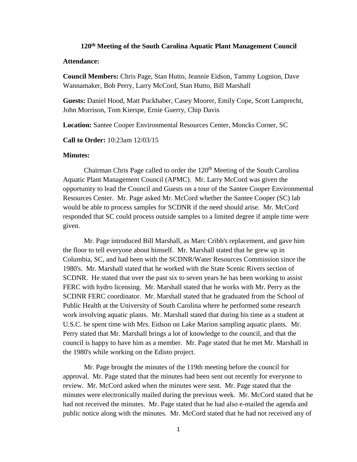## **120th Meeting of the South Carolina Aquatic Plant Management Council**

## **Attendance:**

**Council Members:** Chris Page, Stan Hutto, Jeannie Eidson, Tammy Lognion, Dave Wannamaker, Bob Perry, Larry McCord, Stan Hutto, Bill Marshall

**Guests:** Daniel Hood, Matt Puckhaber, Casey Moorer, Emily Cope, Scott Lamprecht, John Morrison, Tom Kierspe, Ernie Guerry, Chip Davis

**Location:** Santee Cooper Environmental Resources Center, Moncks Corner, SC

**Call to Order:** 10:23am 12/03/15

## **Minutes:**

Chairman Chris Page called to order the  $120<sup>th</sup>$  Meeting of the South Carolina Aquatic Plant Management Council (APMC). Mr. Larry McCord was given the opportunity to lead the Council and Guests on a tour of the Santee Cooper Environmental Resources Center. Mr. Page asked Mr. McCord whether the Santee Cooper (SC) lab would be able to process samples for SCDNR if the need should arise. Mr. McCord responded that SC could process outside samples to a limited degree if ample time were given.

Mr. Page introduced Bill Marshall, as Marc Cribb's replacement, and gave him the floor to tell everyone about himself. Mr. Marshall stated that he grew up in Columbia, SC, and had been with the SCDNR/Water Resources Commission since the 1980's. Mr. Marshall stated that he worked with the State Scenic Rivers section of SCDNR. He stated that over the past six to seven years he has been working to assist FERC with hydro licensing. Mr. Marshall stated that he works with Mr. Perry as the SCDNR FERC coordinator. Mr. Marshall stated that he graduated from the School of Public Health at the University of South Carolina where he performed some research work involving aquatic plants. Mr. Marshall stated that during his time as a student at U.S.C. he spent time with Mrs. Eidson on Lake Marion sampling aquatic plants. Mr. Perry stated that Mr. Marshall brings a lot of knowledge to the council, and that the council is happy to have him as a member. Mr. Page stated that he met Mr. Marshall in the 1980's while working on the Edisto project.

Mr. Page brought the minutes of the 119th meeting before the council for approval. Mr. Page stated that the minutes had been sent out recently for everyone to review. Mr. McCord asked when the minutes were sent. Mr. Page stated that the minutes were electronically mailed during the previous week. Mr. McCord stated that he had not received the minutes. Mr. Page stated that he had also e-mailed the agenda and public notice along with the minutes. Mr. McCord stated that he had not received any of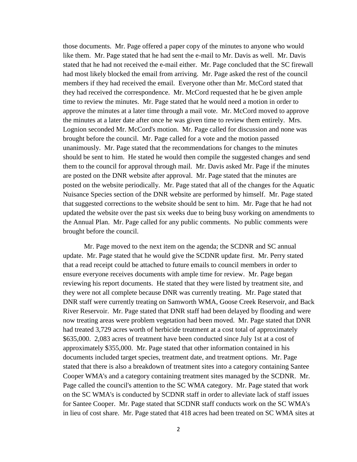those documents. Mr. Page offered a paper copy of the minutes to anyone who would like them. Mr. Page stated that he had sent the e-mail to Mr. Davis as well. Mr. Davis stated that he had not received the e-mail either. Mr. Page concluded that the SC firewall had most likely blocked the email from arriving. Mr. Page asked the rest of the council members if they had received the email. Everyone other than Mr. McCord stated that they had received the correspondence. Mr. McCord requested that he be given ample time to review the minutes. Mr. Page stated that he would need a motion in order to approve the minutes at a later time through a mail vote. Mr. McCord moved to approve the minutes at a later date after once he was given time to review them entirely. Mrs. Lognion seconded Mr. McCord's motion. Mr. Page called for discussion and none was brought before the council. Mr. Page called for a vote and the motion passed unanimously. Mr. Page stated that the recommendations for changes to the minutes should be sent to him. He stated he would then compile the suggested changes and send them to the council for approval through mail. Mr. Davis asked Mr. Page if the minutes are posted on the DNR website after approval. Mr. Page stated that the minutes are posted on the website periodically. Mr. Page stated that all of the changes for the Aquatic Nuisance Species section of the DNR website are performed by himself. Mr. Page stated that suggested corrections to the website should be sent to him. Mr. Page that he had not updated the website over the past six weeks due to being busy working on amendments to the Annual Plan. Mr. Page called for any public comments. No public comments were brought before the council.

Mr. Page moved to the next item on the agenda; the SCDNR and SC annual update. Mr. Page stated that he would give the SCDNR update first. Mr. Perry stated that a read receipt could be attached to future emails to council members in order to ensure everyone receives documents with ample time for review. Mr. Page began reviewing his report documents. He stated that they were listed by treatment site, and they were not all complete because DNR was currently treating. Mr. Page stated that DNR staff were currently treating on Samworth WMA, Goose Creek Reservoir, and Back River Reservoir. Mr. Page stated that DNR staff had been delayed by flooding and were now treating areas were problem vegetation had been moved. Mr. Page stated that DNR had treated 3,729 acres worth of herbicide treatment at a cost total of approximately \$635,000. 2,083 acres of treatment have been conducted since July 1st at a cost of approximately \$355,000. Mr. Page stated that other information contained in his documents included target species, treatment date, and treatment options. Mr. Page stated that there is also a breakdown of treatment sites into a category containing Santee Cooper WMA's and a category containing treatment sites managed by the SCDNR. Mr. Page called the council's attention to the SC WMA category. Mr. Page stated that work on the SC WMA's is conducted by SCDNR staff in order to alleviate lack of staff issues for Santee Cooper. Mr. Page stated that SCDNR staff conducts work on the SC WMA's in lieu of cost share. Mr. Page stated that 418 acres had been treated on SC WMA sites at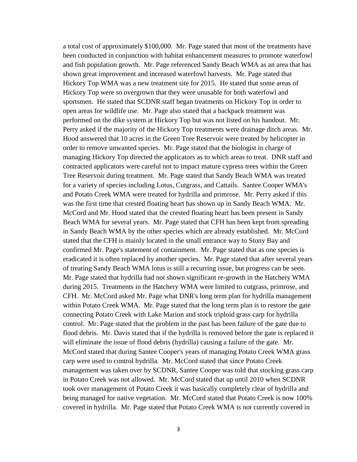a total cost of approximately \$100,000. Mr. Page stated that most of the treatments have been conducted in conjunction with habitat enhancement measures to promote waterfowl and fish population growth. Mr. Page referenced Sandy Beach WMA as an area that has shown great improvement and increased waterfowl harvests. Mr. Page stated that Hickory Top WMA was a new treatment site for 2015. He stated that some areas of Hickory Top were so overgrown that they were unusable for both waterfowl and sportsmen. He stated that SCDNR staff began treatments on Hickory Top in order to open areas for wildlife use. Mr. Page also stated that a backpack treatment was performed on the dike system at Hickory Top but was not listed on his handout. Mr. Perry asked if the majority of the Hickory Top treatments were drainage ditch areas. Mr. Hood answered that 10 acres in the Green Tree Reservoir were treated by helicopter in order to remove unwanted species. Mr. Page stated that the biologist in charge of managing Hickory Top directed the applicators as to which areas to treat. DNR staff and contracted applicators were careful not to impact mature cypress trees within the Green Tree Reservoir during treatment. Mr. Page stated that Sandy Beach WMA was treated for a variety of species including Lotus, Cutgrass, and Cattails. Santee Cooper WMA's and Potato Creek WMA were treated for hydrilla and primrose. Mr. Perry asked if this was the first time that crested floating heart has shown up in Sandy Beach WMA. Mr. McCord and Mr. Hood stated that the crested floating heart has been present in Sandy Beach WMA for several years. Mr. Page stated that CFH has been kept from spreading in Sandy Beach WMA by the other species which are already established. Mr. McCord stated that the CFH is mainly located in the small entrance way to Stony Bay and confirmed Mr. Page's statement of containment. Mr. Page stated that as one species is eradicated it is often replaced by another species. Mr. Page stated that after several years of treating Sandy Beach WMA lotus is still a recurring issue, but progress can be seen. Mr. Page stated that hydrilla had not shown significant re-growth in the Hatchery WMA during 2015. Treatments in the Hatchery WMA were limited to cutgrass, primrose, and CFH. Mr. McCord asked Mr. Page what DNR's long term plan for hydrilla management within Potato Creek WMA. Mr. Page stated that the long term plan is to restore the gate connecting Potato Creek with Lake Marion and stock triploid grass carp for hydrilla control. Mr. Page stated that the problem in the past has been failure of the gate due to flood debris. Mr. Davis stated that if the hydrilla is removed before the gate is replaced it will eliminate the issue of flood debris (hydrilla) causing a failure of the gate. Mr. McCord stated that during Santee Cooper's years of managing Potato Creek WMA grass carp were used to control hydrilla. Mr. McCord stated that since Potato Creek management was taken over by SCDNR, Santee Cooper was told that stocking grass carp in Potato Creek was not allowed. Mr. McCord stated that up until 2010 when SCDNR took over management of Potato Creek it was basically completely clear of hydrilla and being managed for native vegetation. Mr. McCord stated that Potato Creek is now 100% covered in hydrilla. Mr. Page stated that Potato Creek WMA is not currently covered in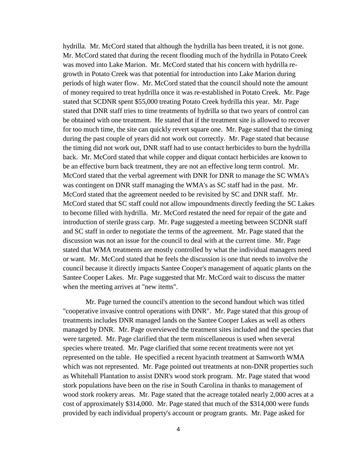hydrilla. Mr. McCord stated that although the hydrilla has been treated, it is not gone. Mr. McCord stated that during the recent flooding much of the hydrilla in Potato Creek was moved into Lake Marion. Mr. McCord stated that his concern with hydrilla regrowth in Potato Creek was that potential for introduction into Lake Marion during periods of high water flow. Mr. McCord stated that the council should note the amount of money required to treat hydrilla once it was re-established in Potato Creek. Mr. Page stated that SCDNR spent \$55,000 treating Potato Creek hydrilla this year. Mr. Page stated that DNR staff tries to time treatments of hydrilla so that two years of control can be obtained with one treatment. He stated that if the treatment site is allowed to recover for too much time, the site can quickly revert square one. Mr. Page stated that the timing during the past couple of years did not work out correctly. Mr. Page stated that because the timing did not work out, DNR staff had to use contact herbicides to burn the hydrilla back. Mr. McCord stated that while copper and diquat contact herbicides are known to be an effective burn back treatment, they are not an effective long term control. Mr. McCord stated that the verbal agreement with DNR for DNR to manage the SC WMA's was contingent on DNR staff managing the WMA's as SC staff had in the past. Mr. McCord stated that the agreement needed to be revisited by SC and DNR staff. Mr. McCord stated that SC staff could not allow impoundments directly feeding the SC Lakes to become filled with hydrilla. Mr. McCord restated the need for repair of the gate and introduction of sterile grass carp. Mr. Page suggested a meeting between SCDNR staff and SC staff in order to negotiate the terms of the agreement. Mr. Page stated that the discussion was not an issue for the council to deal with at the current time. Mr. Page stated that WMA treatments are mostly controlled by what the individual managers need or want. Mr. McCord stated that he feels the discussion is one that needs to involve the council because it directly impacts Santee Cooper's management of aquatic plants on the Santee Cooper Lakes. Mr. Page suggested that Mr. McCord wait to discuss the matter when the meeting arrives at "new items".

Mr. Page turned the council's attention to the second handout which was titled "cooperative invasive control operations with DNR". Mr. Page stated that this group of treatments includes DNR managed lands on the Santee Cooper Lakes as well as others managed by DNR. Mr. Page overviewed the treatment sites included and the species that were targeted. Mr. Page clarified that the term miscellaneous is used when several species where treated. Mr. Page clarified that some recent treatments were not yet represented on the table. He specified a recent hyacinth treatment at Samworth WMA which was not represented. Mr. Page pointed out treatments at non-DNR properties such as Whitehall Plantation to assist DNR's wood stork program. Mr. Page stated that wood stork populations have been on the rise in South Carolina in thanks to management of wood stork rookery areas. Mr. Page stated that the acreage totaled nearly 2,000 acres at a cost of approximately \$314,000. Mr. Page stated that much of the \$314,000 were funds provided by each individual property's account or program grants. Mr. Page asked for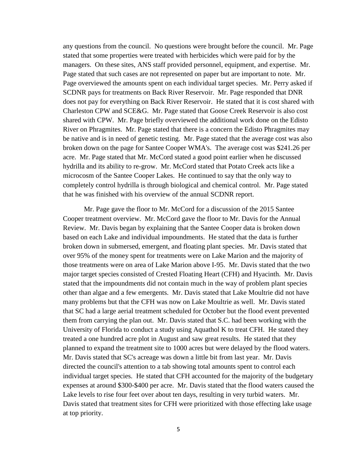any questions from the council. No questions were brought before the council. Mr. Page stated that some properties were treated with herbicides which were paid for by the managers. On these sites, ANS staff provided personnel, equipment, and expertise. Mr. Page stated that such cases are not represented on paper but are important to note. Mr. Page overviewed the amounts spent on each individual target species. Mr. Perry asked if SCDNR pays for treatments on Back River Reservoir. Mr. Page responded that DNR does not pay for everything on Back River Reservoir. He stated that it is cost shared with Charleston CPW and SCE&G. Mr. Page stated that Goose Creek Reservoir is also cost shared with CPW. Mr. Page briefly overviewed the additional work done on the Edisto River on Phragmites. Mr. Page stated that there is a concern the Edisto Phragmites may be native and is in need of genetic testing. Mr. Page stated that the average cost was also broken down on the page for Santee Cooper WMA's. The average cost was \$241.26 per acre. Mr. Page stated that Mr. McCord stated a good point earlier when he discussed hydrilla and its ability to re-grow. Mr. McCord stated that Potato Creek acts like a microcosm of the Santee Cooper Lakes. He continued to say that the only way to completely control hydrilla is through biological and chemical control. Mr. Page stated that he was finished with his overview of the annual SCDNR report.

Mr. Page gave the floor to Mr. McCord for a discussion of the 2015 Santee Cooper treatment overview. Mr. McCord gave the floor to Mr. Davis for the Annual Review. Mr. Davis began by explaining that the Santee Cooper data is broken down based on each Lake and individual impoundments. He stated that the data is further broken down in submersed, emergent, and floating plant species. Mr. Davis stated that over 95% of the money spent for treatments were on Lake Marion and the majority of those treatments were on area of Lake Marion above I-95. Mr. Davis stated that the two major target species consisted of Crested Floating Heart (CFH) and Hyacinth. Mr. Davis stated that the impoundments did not contain much in the way of problem plant species other than algae and a few emergents. Mr. Davis stated that Lake Moultrie did not have many problems but that the CFH was now on Lake Moultrie as well. Mr. Davis stated that SC had a large aerial treatment scheduled for October but the flood event prevented them from carrying the plan out. Mr. Davis stated that S.C. had been working with the University of Florida to conduct a study using Aquathol K to treat CFH. He stated they treated a one hundred acre plot in August and saw great results. He stated that they planned to expand the treatment site to 1000 acres but were delayed by the flood waters. Mr. Davis stated that SC's acreage was down a little bit from last year. Mr. Davis directed the council's attention to a tab showing total amounts spent to control each individual target species. He stated that CFH accounted for the majority of the budgetary expenses at around \$300-\$400 per acre. Mr. Davis stated that the flood waters caused the Lake levels to rise four feet over about ten days, resulting in very turbid waters. Mr. Davis stated that treatment sites for CFH were prioritized with those effecting lake usage at top priority.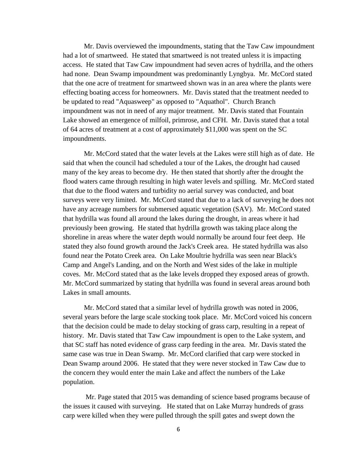Mr. Davis overviewed the impoundments, stating that the Taw Caw impoundment had a lot of smartweed. He stated that smartweed is not treated unless it is impacting access. He stated that Taw Caw impoundment had seven acres of hydrilla, and the others had none. Dean Swamp impoundment was predominantly Lyngbya. Mr. McCord stated that the one acre of treatment for smartweed shown was in an area where the plants were effecting boating access for homeowners. Mr. Davis stated that the treatment needed to be updated to read "Aquasweep" as opposed to "Aquathol". Church Branch impoundment was not in need of any major treatment. Mr. Davis stated that Fountain Lake showed an emergence of milfoil, primrose, and CFH. Mr. Davis stated that a total of 64 acres of treatment at a cost of approximately \$11,000 was spent on the SC impoundments.

Mr. McCord stated that the water levels at the Lakes were still high as of date. He said that when the council had scheduled a tour of the Lakes, the drought had caused many of the key areas to become dry. He then stated that shortly after the drought the flood waters came through resulting in high water levels and spilling. Mr. McCord stated that due to the flood waters and turbidity no aerial survey was conducted, and boat surveys were very limited. Mr. McCord stated that due to a lack of surveying he does not have any acreage numbers for submersed aquatic vegetation (SAV). Mr. McCord stated that hydrilla was found all around the lakes during the drought, in areas where it had previously been growing. He stated that hydrilla growth was taking place along the shoreline in areas where the water depth would normally be around four feet deep. He stated they also found growth around the Jack's Creek area. He stated hydrilla was also found near the Potato Creek area. On Lake Moultrie hydrilla was seen near Black's Camp and Angel's Landing, and on the North and West sides of the lake in multiple coves. Mr. McCord stated that as the lake levels dropped they exposed areas of growth. Mr. McCord summarized by stating that hydrilla was found in several areas around both Lakes in small amounts.

Mr. McCord stated that a similar level of hydrilla growth was noted in 2006, several years before the large scale stocking took place. Mr. McCord voiced his concern that the decision could be made to delay stocking of grass carp, resulting in a repeat of history. Mr. Davis stated that Taw Caw impoundment is open to the Lake system, and that SC staff has noted evidence of grass carp feeding in the area. Mr. Davis stated the same case was true in Dean Swamp. Mr. McCord clarified that carp were stocked in Dean Swamp around 2006. He stated that they were never stocked in Taw Caw due to the concern they would enter the main Lake and affect the numbers of the Lake population.

Mr. Page stated that 2015 was demanding of science based programs because of the issues it caused with surveying. He stated that on Lake Murray hundreds of grass carp were killed when they were pulled through the spill gates and swept down the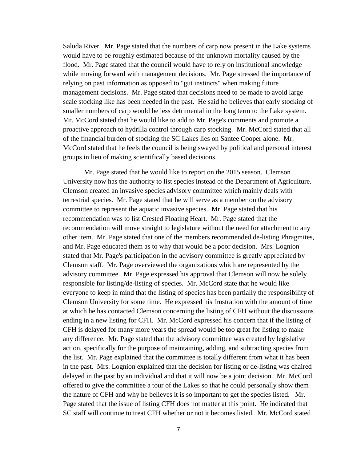Saluda River. Mr. Page stated that the numbers of carp now present in the Lake systems would have to be roughly estimated because of the unknown mortality caused by the flood. Mr. Page stated that the council would have to rely on institutional knowledge while moving forward with management decisions. Mr. Page stressed the importance of relying on past information as opposed to "gut instincts" when making future management decisions. Mr. Page stated that decisions need to be made to avoid large scale stocking like has been needed in the past. He said he believes that early stocking of smaller numbers of carp would be less detrimental in the long term to the Lake system. Mr. McCord stated that he would like to add to Mr. Page's comments and promote a proactive approach to hydrilla control through carp stocking. Mr. McCord stated that all of the financial burden of stocking the SC Lakes lies on Santee Cooper alone. Mr. McCord stated that he feels the council is being swayed by political and personal interest groups in lieu of making scientifically based decisions.

Mr. Page stated that he would like to report on the 2015 season. Clemson University now has the authority to list species instead of the Department of Agriculture. Clemson created an invasive species advisory committee which mainly deals with terrestrial species. Mr. Page stated that he will serve as a member on the advisory committee to represent the aquatic invasive species. Mr. Page stated that his recommendation was to list Crested Floating Heart. Mr. Page stated that the recommendation will move straight to legislature without the need for attachment to any other item. Mr. Page stated that one of the members recommended de-listing Phragmites, and Mr. Page educated them as to why that would be a poor decision. Mrs. Lognion stated that Mr. Page's participation in the advisory committee is greatly appreciated by Clemson staff. Mr. Page overviewed the organizations which are represented by the advisory committee. Mr. Page expressed his approval that Clemson will now be solely responsible for listing/de-listing of species. Mr. McCord state that he would like everyone to keep in mind that the listing of species has been partially the responsibility of Clemson University for some time. He expressed his frustration with the amount of time at which he has contacted Clemson concerning the listing of CFH without the discussions ending in a new listing for CFH. Mr. McCord expressed his concern that if the listing of CFH is delayed for many more years the spread would be too great for listing to make any difference. Mr. Page stated that the advisory committee was created by legislative action, specifically for the purpose of maintaining, adding, and subtracting species from the list. Mr. Page explained that the committee is totally different from what it has been in the past. Mrs. Lognion explained that the decision for listing or de-listing was chaired delayed in the past by an individual and that it will now be a joint decision. Mr. McCord offered to give the committee a tour of the Lakes so that he could personally show them the nature of CFH and why he believes it is so important to get the species listed. Mr. Page stated that the issue of listing CFH does not matter at this point. He indicated that SC staff will continue to treat CFH whether or not it becomes listed. Mr. McCord stated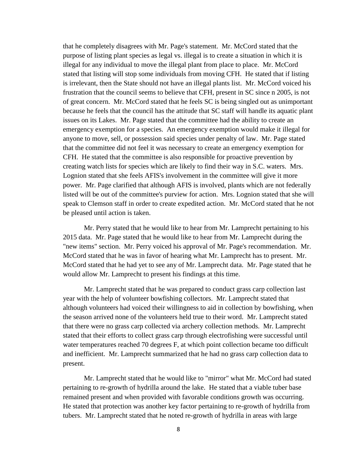that he completely disagrees with Mr. Page's statement. Mr. McCord stated that the purpose of listing plant species as legal vs. illegal is to create a situation in which it is illegal for any individual to move the illegal plant from place to place. Mr. McCord stated that listing will stop some individuals from moving CFH. He stated that if listing is irrelevant, then the State should not have an illegal plants list. Mr. McCord voiced his frustration that the council seems to believe that CFH, present in SC since n 2005, is not of great concern. Mr. McCord stated that he feels SC is being singled out as unimportant because he feels that the council has the attitude that SC staff will handle its aquatic plant issues on its Lakes. Mr. Page stated that the committee had the ability to create an emergency exemption for a species. An emergency exemption would make it illegal for anyone to move, sell, or possession said species under penalty of law. Mr. Page stated that the committee did not feel it was necessary to create an emergency exemption for CFH. He stated that the committee is also responsible for proactive prevention by creating watch lists for species which are likely to find their way in S.C. waters. Mrs. Lognion stated that she feels AFIS's involvement in the committee will give it more power. Mr. Page clarified that although AFIS is involved, plants which are not federally listed will be out of the committee's purview for action. Mrs. Lognion stated that she will speak to Clemson staff in order to create expedited action. Mr. McCord stated that he not be pleased until action is taken.

Mr. Perry stated that he would like to hear from Mr. Lamprecht pertaining to his 2015 data. Mr. Page stated that he would like to hear from Mr. Lamprecht during the "new items" section. Mr. Perry voiced his approval of Mr. Page's recommendation. Mr. McCord stated that he was in favor of hearing what Mr. Lamprecht has to present. Mr. McCord stated that he had yet to see any of Mr. Lamprecht data. Mr. Page stated that he would allow Mr. Lamprecht to present his findings at this time.

Mr. Lamprecht stated that he was prepared to conduct grass carp collection last year with the help of volunteer bowfishing collectors. Mr. Lamprecht stated that although volunteers had voiced their willingness to aid in collection by bowfishing, when the season arrived none of the volunteers held true to their word. Mr. Lamprecht stated that there were no grass carp collected via archery collection methods. Mr. Lamprecht stated that their efforts to collect grass carp through electrofishing were successful until water temperatures reached 70 degrees F, at which point collection became too difficult and inefficient. Mr. Lamprecht summarized that he had no grass carp collection data to present.

Mr. Lamprecht stated that he would like to "mirror" what Mr. McCord had stated pertaining to re-growth of hydrilla around the lake. He stated that a viable tuber base remained present and when provided with favorable conditions growth was occurring. He stated that protection was another key factor pertaining to re-growth of hydrilla from tubers. Mr. Lamprecht stated that he noted re-growth of hydrilla in areas with large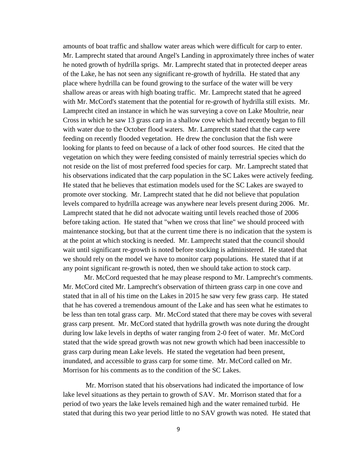amounts of boat traffic and shallow water areas which were difficult for carp to enter. Mr. Lamprecht stated that around Angel's Landing in approximately three inches of water he noted growth of hydrilla sprigs. Mr. Lamprecht stated that in protected deeper areas of the Lake, he has not seen any significant re-growth of hydrilla. He stated that any place where hydrilla can be found growing to the surface of the water will be very shallow areas or areas with high boating traffic. Mr. Lamprecht stated that he agreed with Mr. McCord's statement that the potential for re-growth of hydrilla still exists. Mr. Lamprecht cited an instance in which he was surveying a cove on Lake Moultrie, near Cross in which he saw 13 grass carp in a shallow cove which had recently began to fill with water due to the October flood waters. Mr. Lamprecht stated that the carp were feeding on recently flooded vegetation. He drew the conclusion that the fish were looking for plants to feed on because of a lack of other food sources. He cited that the vegetation on which they were feeding consisted of mainly terrestrial species which do not reside on the list of most preferred food species for carp. Mr. Lamprecht stated that his observations indicated that the carp population in the SC Lakes were actively feeding. He stated that he believes that estimation models used for the SC Lakes are swayed to promote over stocking. Mr. Lamprecht stated that he did not believe that population levels compared to hydrilla acreage was anywhere near levels present during 2006. Mr. Lamprecht stated that he did not advocate waiting until levels reached those of 2006 before taking action. He stated that "when we cross that line" we should proceed with maintenance stocking, but that at the current time there is no indication that the system is at the point at which stocking is needed. Mr. Lamprecht stated that the council should wait until significant re-growth is noted before stocking is administered. He stated that we should rely on the model we have to monitor carp populations. He stated that if at any point significant re-growth is noted, then we should take action to stock carp.

Mr. McCord requested that he may please respond to Mr. Lamprecht's comments. Mr. McCord cited Mr. Lamprecht's observation of thirteen grass carp in one cove and stated that in all of his time on the Lakes in 2015 he saw very few grass carp. He stated that he has covered a tremendous amount of the Lake and has seen what he estimates to be less than ten total grass carp. Mr. McCord stated that there may be coves with several grass carp present. Mr. McCord stated that hydrilla growth was note during the drought during low lake levels in depths of water ranging from 2-0 feet of water. Mr. McCord stated that the wide spread growth was not new growth which had been inaccessible to grass carp during mean Lake levels. He stated the vegetation had been present, inundated, and accessible to grass carp for some time. Mr. McCord called on Mr. Morrison for his comments as to the condition of the SC Lakes.

Mr. Morrison stated that his observations had indicated the importance of low lake level situations as they pertain to growth of SAV. Mr. Morrison stated that for a period of two years the lake levels remained high and the water remained turbid. He stated that during this two year period little to no SAV growth was noted. He stated that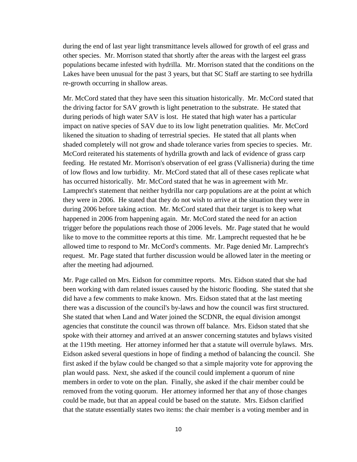during the end of last year light transmittance levels allowed for growth of eel grass and other species. Mr. Morrison stated that shortly after the areas with the largest eel grass populations became infested with hydrilla. Mr. Morrison stated that the conditions on the Lakes have been unusual for the past 3 years, but that SC Staff are starting to see hydrilla re-growth occurring in shallow areas.

Mr. McCord stated that they have seen this situation historically. Mr. McCord stated that the driving factor for SAV growth is light penetration to the substrate. He stated that during periods of high water SAV is lost. He stated that high water has a particular impact on native species of SAV due to its low light penetration qualities. Mr. McCord likened the situation to shading of terrestrial species. He stated that all plants when shaded completely will not grow and shade tolerance varies from species to species. Mr. McCord reiterated his statements of hydrilla growth and lack of evidence of grass carp feeding. He restated Mr. Morrison's observation of eel grass (Vallisneria) during the time of low flows and low turbidity. Mr. McCord stated that all of these cases replicate what has occurred historically. Mr. McCord stated that he was in agreement with Mr. Lamprecht's statement that neither hydrilla nor carp populations are at the point at which they were in 2006. He stated that they do not wish to arrive at the situation they were in during 2006 before taking action. Mr. McCord stated that their target is to keep what happened in 2006 from happening again. Mr. McCord stated the need for an action trigger before the populations reach those of 2006 levels. Mr. Page stated that he would like to move to the committee reports at this time. Mr. Lamprecht requested that he be allowed time to respond to Mr. McCord's comments. Mr. Page denied Mr. Lamprecht's request. Mr. Page stated that further discussion would be allowed later in the meeting or after the meeting had adjourned.

Mr. Page called on Mrs. Eidson for committee reports. Mrs. Eidson stated that she had been working with dam related issues caused by the historic flooding. She stated that she did have a few comments to make known. Mrs. Eidson stated that at the last meeting there was a discussion of the council's by-laws and how the council was first structured. She stated that when Land and Water joined the SCDNR, the equal division amongst agencies that constitute the council was thrown off balance. Mrs. Eidson stated that she spoke with their attorney and arrived at an answer concerning statutes and bylaws visited at the 119th meeting. Her attorney informed her that a statute will overrule bylaws. Mrs. Eidson asked several questions in hope of finding a method of balancing the council. She first asked if the bylaw could be changed so that a simple majority vote for approving the plan would pass. Next, she asked if the council could implement a quorum of nine members in order to vote on the plan. Finally, she asked if the chair member could be removed from the voting quorum. Her attorney informed her that any of those changes could be made, but that an appeal could be based on the statute. Mrs. Eidson clarified that the statute essentially states two items: the chair member is a voting member and in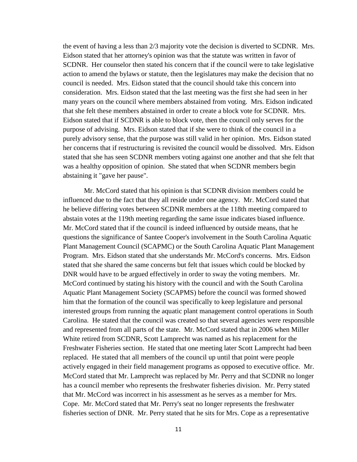the event of having a less than 2/3 majority vote the decision is diverted to SCDNR. Mrs. Eidson stated that her attorney's opinion was that the statute was written in favor of SCDNR. Her counselor then stated his concern that if the council were to take legislative action to amend the bylaws or statute, then the legislatures may make the decision that no council is needed. Mrs. Eidson stated that the council should take this concern into consideration. Mrs. Eidson stated that the last meeting was the first she had seen in her many years on the council where members abstained from voting. Mrs. Eidson indicated that she felt these members abstained in order to create a block vote for SCDNR. Mrs. Eidson stated that if SCDNR is able to block vote, then the council only serves for the purpose of advising. Mrs. Eidson stated that if she were to think of the council in a purely advisory sense, that the purpose was still valid in her opinion. Mrs. Eidson stated her concerns that if restructuring is revisited the council would be dissolved. Mrs. Eidson stated that she has seen SCDNR members voting against one another and that she felt that was a healthy opposition of opinion. She stated that when SCDNR members begin abstaining it "gave her pause".

Mr. McCord stated that his opinion is that SCDNR division members could be influenced due to the fact that they all reside under one agency. Mr. McCord stated that he believe differing votes between SCDNR members at the 118th meeting compared to abstain votes at the 119th meeting regarding the same issue indicates biased influence. Mr. McCord stated that if the council is indeed influenced by outside means, that he questions the significance of Santee Cooper's involvement in the South Carolina Aquatic Plant Management Council (SCAPMC) or the South Carolina Aquatic Plant Management Program. Mrs. Eidson stated that she understands Mr. McCord's concerns. Mrs. Eidson stated that she shared the same concerns but felt that issues which could be blocked by DNR would have to be argued effectively in order to sway the voting members. Mr. McCord continued by stating his history with the council and with the South Carolina Aquatic Plant Management Society (SCAPMS) before the council was formed showed him that the formation of the council was specifically to keep legislature and personal interested groups from running the aquatic plant management control operations in South Carolina. He stated that the council was created so that several agencies were responsible and represented from all parts of the state. Mr. McCord stated that in 2006 when Miller White retired from SCDNR, Scott Lamprecht was named as his replacement for the Freshwater Fisheries section. He stated that one meeting later Scott Lamprecht had been replaced. He stated that all members of the council up until that point were people actively engaged in their field management programs as opposed to executive office. Mr. McCord stated that Mr. Lamprecht was replaced by Mr. Perry and that SCDNR no longer has a council member who represents the freshwater fisheries division. Mr. Perry stated that Mr. McCord was incorrect in his assessment as he serves as a member for Mrs. Cope. Mr. McCord stated that Mr. Perry's seat no longer represents the freshwater fisheries section of DNR. Mr. Perry stated that he sits for Mrs. Cope as a representative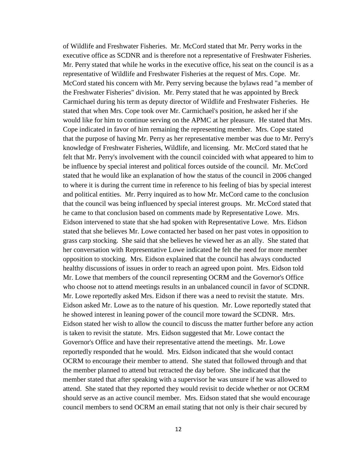of Wildlife and Freshwater Fisheries. Mr. McCord stated that Mr. Perry works in the executive office as SCDNR and is therefore not a representative of Freshwater Fisheries. Mr. Perry stated that while he works in the executive office, his seat on the council is as a representative of Wildlife and Freshwater Fisheries at the request of Mrs. Cope. Mr. McCord stated his concern with Mr. Perry serving because the bylaws read "a member of the Freshwater Fisheries" division. Mr. Perry stated that he was appointed by Breck Carmichael during his term as deputy director of Wildlife and Freshwater Fisheries. He stated that when Mrs. Cope took over Mr. Carmichael's position, he asked her if she would like for him to continue serving on the APMC at her pleasure. He stated that Mrs. Cope indicated in favor of him remaining the representing member. Mrs. Cope stated that the purpose of having Mr. Perry as her representative member was due to Mr. Perry's knowledge of Freshwater Fisheries, Wildlife, and licensing. Mr. McCord stated that he felt that Mr. Perry's involvement with the council coincided with what appeared to him to be influence by special interest and political forces outside of the council. Mr. McCord stated that he would like an explanation of how the status of the council in 2006 changed to where it is during the current time in reference to his feeling of bias by special interest and political entities. Mr. Perry inquired as to how Mr. McCord came to the conclusion that the council was being influenced by special interest groups. Mr. McCord stated that he came to that conclusion based on comments made by Representative Lowe. Mrs. Eidson intervened to state that she had spoken with Representative Lowe. Mrs. Eidson stated that she believes Mr. Lowe contacted her based on her past votes in opposition to grass carp stocking. She said that she believes he viewed her as an ally. She stated that her conversation with Representative Lowe indicated he felt the need for more member opposition to stocking. Mrs. Eidson explained that the council has always conducted healthy discussions of issues in order to reach an agreed upon point. Mrs. Eidson told Mr. Lowe that members of the council representing OCRM and the Governor's Office who choose not to attend meetings results in an unbalanced council in favor of SCDNR. Mr. Lowe reportedly asked Mrs. Eidson if there was a need to revisit the statute. Mrs. Eidson asked Mr. Lowe as to the nature of his question. Mr. Lowe reportedly stated that he showed interest in leaning power of the council more toward the SCDNR. Mrs. Eidson stated her wish to allow the council to discuss the matter further before any action is taken to revisit the statute. Mrs. Eidson suggested that Mr. Lowe contact the Governor's Office and have their representative attend the meetings. Mr. Lowe reportedly responded that he would. Mrs. Eidson indicated that she would contact OCRM to encourage their member to attend. She stated that followed through and that the member planned to attend but retracted the day before. She indicated that the member stated that after speaking with a supervisor he was unsure if he was allowed to attend. She stated that they reported they would revisit to decide whether or not OCRM should serve as an active council member. Mrs. Eidson stated that she would encourage council members to send OCRM an email stating that not only is their chair secured by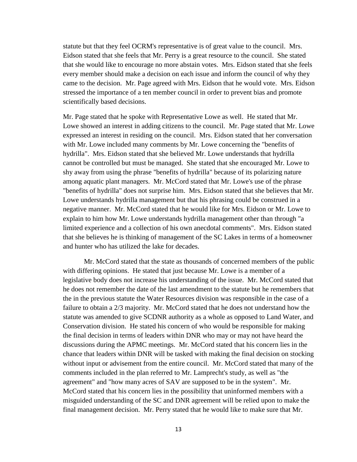statute but that they feel OCRM's representative is of great value to the council. Mrs. Eidson stated that she feels that Mr. Perry is a great resource to the council. She stated that she would like to encourage no more abstain votes. Mrs. Eidson stated that she feels every member should make a decision on each issue and inform the council of why they came to the decision. Mr. Page agreed with Mrs. Eidson that he would vote. Mrs. Eidson stressed the importance of a ten member council in order to prevent bias and promote scientifically based decisions.

Mr. Page stated that he spoke with Representative Lowe as well. He stated that Mr. Lowe showed an interest in adding citizens to the council. Mr. Page stated that Mr. Lowe expressed an interest in residing on the council. Mrs. Eidson stated that her conversation with Mr. Lowe included many comments by Mr. Lowe concerning the "benefits of hydrilla". Mrs. Eidson stated that she believed Mr. Lowe understands that hydrilla cannot be controlled but must be managed. She stated that she encouraged Mr. Lowe to shy away from using the phrase "benefits of hydrilla" because of its polarizing nature among aquatic plant managers. Mr. McCord stated that Mr. Lowe's use of the phrase "benefits of hydrilla" does not surprise him. Mrs. Eidson stated that she believes that Mr. Lowe understands hydrilla management but that his phrasing could be construed in a negative manner. Mr. McCord stated that he would like for Mrs. Eidson or Mr. Lowe to explain to him how Mr. Lowe understands hydrilla management other than through "a limited experience and a collection of his own anecdotal comments". Mrs. Eidson stated that she believes he is thinking of management of the SC Lakes in terms of a homeowner and hunter who has utilized the lake for decades.

Mr. McCord stated that the state as thousands of concerned members of the public with differing opinions. He stated that just because Mr. Lowe is a member of a legislative body does not increase his understanding of the issue. Mr. McCord stated that he does not remember the date of the last amendment to the statute but he remembers that the in the previous statute the Water Resources division was responsible in the case of a failure to obtain a 2/3 majority. Mr. McCord stated that he does not understand how the statute was amended to give SCDNR authority as a whole as opposed to Land Water, and Conservation division. He stated his concern of who would be responsible for making the final decision in terms of leaders within DNR who may or may not have heard the discussions during the APMC meetings. Mr. McCord stated that his concern lies in the chance that leaders within DNR will be tasked with making the final decision on stocking without input or advisement from the entire council. Mr. McCord stated that many of the comments included in the plan referred to Mr. Lamprecht's study, as well as "the agreement" and "how many acres of SAV are supposed to be in the system". Mr. McCord stated that his concern lies in the possibility that uninformed members with a misguided understanding of the SC and DNR agreement will be relied upon to make the final management decision. Mr. Perry stated that he would like to make sure that Mr.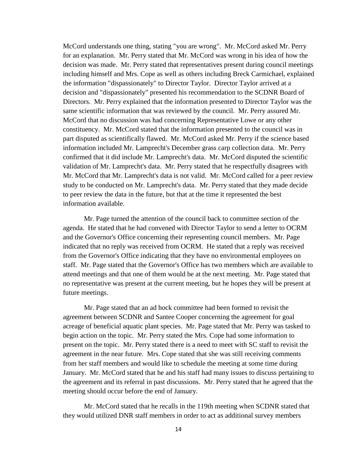McCord understands one thing, stating "you are wrong". Mr. McCord asked Mr. Perry for an explanation. Mr. Perry stated that Mr. McCord was wrong in his idea of how the decision was made. Mr. Perry stated that representatives present during council meetings including himself and Mrs. Cope as well as others including Breck Carmichael, explained the information "dispassionately" to Director Taylor. Director Taylor arrived at a decision and "dispassionately" presented his recommendation to the SCDNR Board of Directors. Mr. Perry explained that the information presented to Director Taylor was the same scientific information that was reviewed by the council. Mr. Perry assured Mr. McCord that no discussion was had concerning Representative Lowe or any other constituency. Mr. McCord stated that the information presented to the council was in part disputed as scientifically flawed. Mr. McCord asked Mr. Perry if the science based information included Mr. Lamprecht's December grass carp collection data. Mr. Perry confirmed that it did include Mr. Lamprecht's data. Mr. McCord disputed the scientific validation of Mr. Lamprecht's data. Mr. Perry stated that he respectfully disagrees with Mr. McCord that Mr. Lamprecht's data is not valid. Mr. McCord called for a peer review study to be conducted on Mr. Lamprecht's data. Mr. Perry stated that they made decide to peer review the data in the future, but that at the time it represented the best information available.

Mr. Page turned the attention of the council back to committee section of the agenda. He stated that he had convened with Director Taylor to send a letter to OCRM and the Governor's Office concerning their representing council members. Mr. Page indicated that no reply was received from OCRM. He stated that a reply was received from the Governor's Office indicating that they have no environmental employees on staff. Mr. Page stated that the Governor's Office has two members which are available to attend meetings and that one of them would be at the next meeting. Mr. Page stated that no representative was present at the current meeting, but he hopes they will be present at future meetings.

Mr. Page stated that an ad hock committee had been formed to revisit the agreement between SCDNR and Santee Cooper concerning the agreement for goal acreage of beneficial aquatic plant species. Mr. Page stated that Mr. Perry was tasked to begin action on the topic. Mr. Perry stated the Mrs. Cope had some information to present on the topic. Mr. Perry stated there is a need to meet with SC staff to revisit the agreement in the near future. Mrs. Cope stated that she was still receiving comments from her staff members and would like to schedule the meeting at some time during January. Mr. McCord stated that he and his staff had many issues to discuss pertaining to the agreement and its referral in past discussions. Mr. Perry stated that he agreed that the meeting should occur before the end of January.

Mr. McCord stated that he recalls in the 119th meeting when SCDNR stated that they would utilized DNR staff members in order to act as additional survey members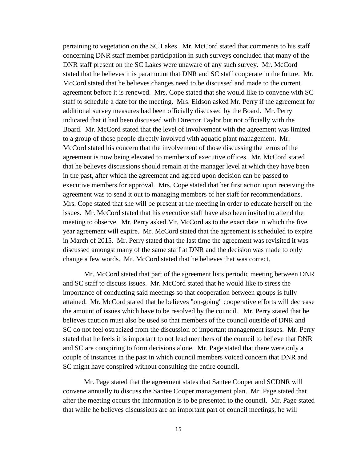pertaining to vegetation on the SC Lakes. Mr. McCord stated that comments to his staff concerning DNR staff member participation in such surveys concluded that many of the DNR staff present on the SC Lakes were unaware of any such survey. Mr. McCord stated that he believes it is paramount that DNR and SC staff cooperate in the future. Mr. McCord stated that he believes changes need to be discussed and made to the current agreement before it is renewed. Mrs. Cope stated that she would like to convene with SC staff to schedule a date for the meeting. Mrs. Eidson asked Mr. Perry if the agreement for additional survey measures had been officially discussed by the Board. Mr. Perry indicated that it had been discussed with Director Taylor but not officially with the Board. Mr. McCord stated that the level of involvement with the agreement was limited to a group of those people directly involved with aquatic plant management. Mr. McCord stated his concern that the involvement of those discussing the terms of the agreement is now being elevated to members of executive offices. Mr. McCord stated that he believes discussions should remain at the manager level at which they have been in the past, after which the agreement and agreed upon decision can be passed to executive members for approval. Mrs. Cope stated that her first action upon receiving the agreement was to send it out to managing members of her staff for recommendations. Mrs. Cope stated that she will be present at the meeting in order to educate herself on the issues. Mr. McCord stated that his executive staff have also been invited to attend the meeting to observe. Mr. Perry asked Mr. McCord as to the exact date in which the five year agreement will expire. Mr. McCord stated that the agreement is scheduled to expire in March of 2015. Mr. Perry stated that the last time the agreement was revisited it was discussed amongst many of the same staff at DNR and the decision was made to only change a few words. Mr. McCord stated that he believes that was correct.

Mr. McCord stated that part of the agreement lists periodic meeting between DNR and SC staff to discuss issues. Mr. McCord stated that he would like to stress the importance of conducting said meetings so that cooperation between groups is fully attained. Mr. McCord stated that he believes "on-going" cooperative efforts will decrease the amount of issues which have to be resolved by the council. Mr. Perry stated that he believes caution must also be used so that members of the council outside of DNR and SC do not feel ostracized from the discussion of important management issues. Mr. Perry stated that he feels it is important to not lead members of the council to believe that DNR and SC are conspiring to form decisions alone. Mr. Page stated that there were only a couple of instances in the past in which council members voiced concern that DNR and SC might have conspired without consulting the entire council.

Mr. Page stated that the agreement states that Santee Cooper and SCDNR will convene annually to discuss the Santee Cooper management plan. Mr. Page stated that after the meeting occurs the information is to be presented to the council. Mr. Page stated that while he believes discussions are an important part of council meetings, he will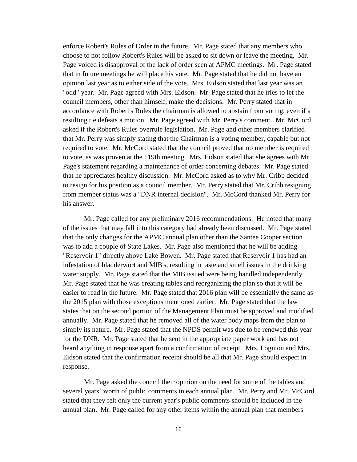enforce Robert's Rules of Order in the future. Mr. Page stated that any members who choose to not follow Robert's Rules will be asked to sit down or leave the meeting. Mr. Page voiced is disapproval of the lack of order seen at APMC meetings. Mr. Page stated that in future meetings he will place his vote. Mr. Page stated that he did not have an opinion last year as to either side of the vote. Mrs. Eidson stated that last year was an "odd" year. Mr. Page agreed with Mrs. Eidson. Mr. Page stated that he tries to let the council members, other than himself, make the decisions. Mr. Perry stated that in accordance with Robert's Rules the chairman is allowed to abstain from voting, even if a resulting tie defeats a motion. Mr. Page agreed with Mr. Perry's comment. Mr. McCord asked if the Robert's Rules overrule legislation. Mr. Page and other members clarified that Mr. Perry was simply stating that the Chairman is a voting member, capable but not required to vote. Mr. McCord stated that the council proved that no member is required to vote, as was proven at the 119th meeting. Mrs. Eidson stated that she agrees with Mr. Page's statement regarding a maintenance of order concerning debates. Mr. Page stated that he appreciates healthy discussion. Mr. McCord asked as to why Mr. Cribb decided to resign for his position as a council member. Mr. Perry stated that Mr. Cribb resigning from member status was a "DNR internal decision". Mr. McCord thanked Mr. Perry for his answer.

Mr. Page called for any preliminary 2016 recommendations. He noted that many of the issues that may fall into this category had already been discussed. Mr. Page stated that the only changes for the APMC annual plan other than the Santee Cooper section was to add a couple of State Lakes. Mr. Page also mentioned that he will be adding "Reservoir 1" directly above Lake Bowen. Mr. Page stated that Reservoir 1 has had an infestation of bladderwort and MIB's, resulting in taste and smell issues in the drinking water supply. Mr. Page stated that the MIB issued were being handled independently. Mr. Page stated that he was creating tables and reorganizing the plan so that it will be easier to read in the future. Mr. Page stated that 2016 plan will be essentially the same as the 2015 plan with those exceptions mentioned earlier. Mr. Page stated that the law states that on the second portion of the Management Plan must be approved and modified annually. Mr. Page stated that he removed all of the water body maps from the plan to simply its nature. Mr. Page stated that the NPDS permit was due to be renewed this year for the DNR. Mr. Page stated that he sent in the appropriate paper work and has not heard anything in response apart from a confirmation of receipt. Mrs. Lognion and Mrs. Eidson stated that the confirmation receipt should be all that Mr. Page should expect in response.

Mr. Page asked the council their opinion on the need for some of the tables and several years' worth of public comments in each annual plan. Mr. Perry and Mr. McCord stated that they felt only the current year's public comments should be included in the annual plan. Mr. Page called for any other items within the annual plan that members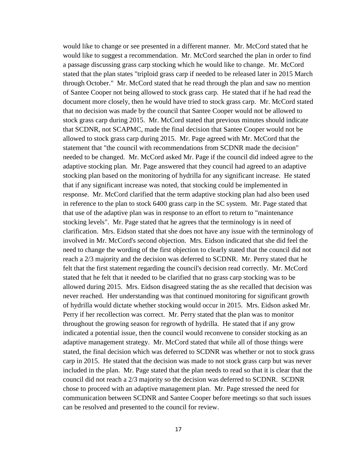would like to change or see presented in a different manner. Mr. McCord stated that he would like to suggest a recommendation. Mr. McCord searched the plan in order to find a passage discussing grass carp stocking which he would like to change. Mr. McCord stated that the plan states "triploid grass carp if needed to be released later in 2015 March through October." Mr. McCord stated that he read through the plan and saw no mention of Santee Cooper not being allowed to stock grass carp. He stated that if he had read the document more closely, then he would have tried to stock grass carp. Mr. McCord stated that no decision was made by the council that Santee Cooper would not be allowed to stock grass carp during 2015. Mr. McCord stated that previous minutes should indicate that SCDNR, not SCAPMC, made the final decision that Santee Cooper would not be allowed to stock grass carp during 2015. Mr. Page agreed with Mr. McCord that the statement that "the council with recommendations from SCDNR made the decision" needed to be changed. Mr. McCord asked Mr. Page if the council did indeed agree to the adaptive stocking plan. Mr. Page answered that they council had agreed to an adaptive stocking plan based on the monitoring of hydrilla for any significant increase. He stated that if any significant increase was noted, that stocking could be implemented in response. Mr. McCord clarified that the term adaptive stocking plan had also been used in reference to the plan to stock 6400 grass carp in the SC system. Mr. Page stated that that use of the adaptive plan was in response to an effort to return to "maintenance stocking levels". Mr. Page stated that he agrees that the terminology is in need of clarification. Mrs. Eidson stated that she does not have any issue with the terminology of involved in Mr. McCord's second objection. Mrs. Eidson indicated that she did feel the need to change the wording of the first objection to clearly stated that the council did not reach a 2/3 majority and the decision was deferred to SCDNR. Mr. Perry stated that he felt that the first statement regarding the council's decision read correctly. Mr. McCord stated that he felt that it needed to be clarified that no grass carp stocking was to be allowed during 2015. Mrs. Eidson disagreed stating the as she recalled that decision was never reached. Her understanding was that continued monitoring for significant growth of hydrilla would dictate whether stocking would occur in 2015. Mrs. Eidson asked Mr. Perry if her recollection was correct. Mr. Perry stated that the plan was to monitor throughout the growing season for regrowth of hydrilla. He stated that if any grow indicated a potential issue, then the council would reconvene to consider stocking as an adaptive management strategy. Mr. McCord stated that while all of those things were stated, the final decision which was deferred to SCDNR was whether or not to stock grass carp in 2015. He stated that the decision was made to not stock grass carp but was never included in the plan. Mr. Page stated that the plan needs to read so that it is clear that the council did not reach a 2/3 majority so the decision was deferred to SCDNR. SCDNR chose to proceed with an adaptive management plan. Mr. Page stressed the need for communication between SCDNR and Santee Cooper before meetings so that such issues can be resolved and presented to the council for review.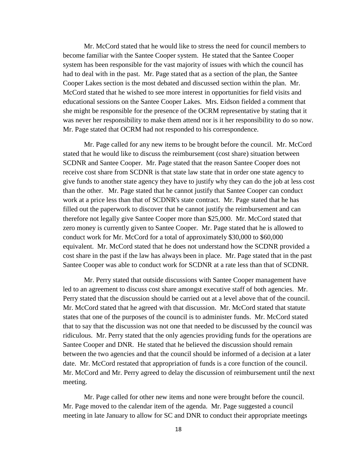Mr. McCord stated that he would like to stress the need for council members to become familiar with the Santee Cooper system. He stated that the Santee Cooper system has been responsible for the vast majority of issues with which the council has had to deal with in the past. Mr. Page stated that as a section of the plan, the Santee Cooper Lakes section is the most debated and discussed section within the plan. Mr. McCord stated that he wished to see more interest in opportunities for field visits and educational sessions on the Santee Cooper Lakes. Mrs. Eidson fielded a comment that she might be responsible for the presence of the OCRM representative by stating that it was never her responsibility to make them attend nor is it her responsibility to do so now. Mr. Page stated that OCRM had not responded to his correspondence.

Mr. Page called for any new items to be brought before the council. Mr. McCord stated that he would like to discuss the reimbursement (cost share) situation between SCDNR and Santee Cooper. Mr. Page stated that the reason Santee Cooper does not receive cost share from SCDNR is that state law state that in order one state agency to give funds to another state agency they have to justify why they can do the job at less cost than the other. Mr. Page stated that he cannot justify that Santee Cooper can conduct work at a price less than that of SCDNR's state contract. Mr. Page stated that he has filled out the paperwork to discover that he cannot justify the reimbursement and can therefore not legally give Santee Cooper more than \$25,000. Mr. McCord stated that zero money is currently given to Santee Cooper. Mr. Page stated that he is allowed to conduct work for Mr. McCord for a total of approximately \$30,000 to \$60,000 equivalent. Mr. McCord stated that he does not understand how the SCDNR provided a cost share in the past if the law has always been in place. Mr. Page stated that in the past Santee Cooper was able to conduct work for SCDNR at a rate less than that of SCDNR.

Mr. Perry stated that outside discussions with Santee Cooper management have led to an agreement to discuss cost share amongst executive staff of both agencies. Mr. Perry stated that the discussion should be carried out at a level above that of the council. Mr. McCord stated that he agreed with that discussion. Mr. McCord stated that statute states that one of the purposes of the council is to administer funds. Mr. McCord stated that to say that the discussion was not one that needed to be discussed by the council was ridiculous. Mr. Perry stated that the only agencies providing funds for the operations are Santee Cooper and DNR. He stated that he believed the discussion should remain between the two agencies and that the council should be informed of a decision at a later date. Mr. McCord restated that appropriation of funds is a core function of the council. Mr. McCord and Mr. Perry agreed to delay the discussion of reimbursement until the next meeting.

Mr. Page called for other new items and none were brought before the council. Mr. Page moved to the calendar item of the agenda. Mr. Page suggested a council meeting in late January to allow for SC and DNR to conduct their appropriate meetings